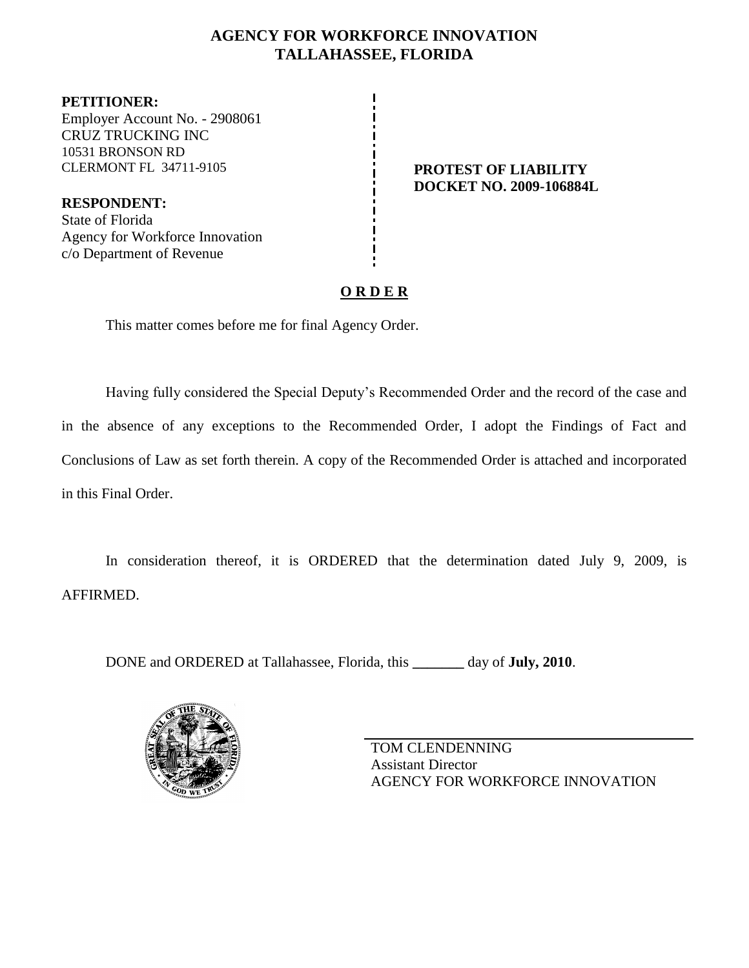# **AGENCY FOR WORKFORCE INNOVATION TALLAHASSEE, FLORIDA**

**PETITIONER:** Employer Account No. - 2908061 CRUZ TRUCKING INC 10531 BRONSON RD CLERMONT FL 34711-9105 **PROTEST OF LIABILITY**

**RESPONDENT:** State of Florida Agency for Workforce Innovation c/o Department of Revenue

**DOCKET NO. 2009-106884L**

# **O R D E R**

This matter comes before me for final Agency Order.

Having fully considered the Special Deputy's Recommended Order and the record of the case and in the absence of any exceptions to the Recommended Order, I adopt the Findings of Fact and Conclusions of Law as set forth therein. A copy of the Recommended Order is attached and incorporated in this Final Order.

In consideration thereof, it is ORDERED that the determination dated July 9, 2009, is AFFIRMED.

DONE and ORDERED at Tallahassee, Florida, this **\_\_\_\_\_\_\_** day of **July, 2010**.



TOM CLENDENNING Assistant Director AGENCY FOR WORKFORCE INNOVATION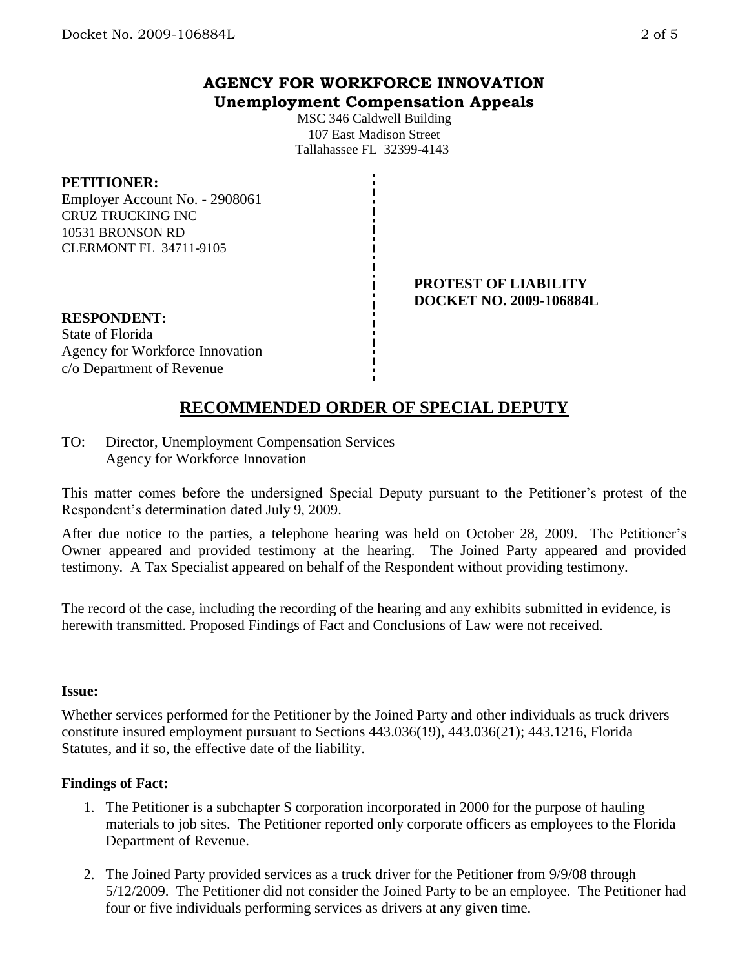# **AGENCY FOR WORKFORCE INNOVATION Unemployment Compensation Appeals**

MSC 346 Caldwell Building 107 East Madison Street Tallahassee FL 32399-4143

### **PETITIONER:**

Employer Account No. - 2908061 CRUZ TRUCKING INC 10531 BRONSON RD CLERMONT FL 34711-9105

> **PROTEST OF LIABILITY DOCKET NO. 2009-106884L**

#### **RESPONDENT:**

State of Florida Agency for Workforce Innovation c/o Department of Revenue

# **RECOMMENDED ORDER OF SPECIAL DEPUTY**

TO: Director, Unemployment Compensation Services Agency for Workforce Innovation

This matter comes before the undersigned Special Deputy pursuant to the Petitioner's protest of the Respondent's determination dated July 9, 2009.

After due notice to the parties, a telephone hearing was held on October 28, 2009. The Petitioner's Owner appeared and provided testimony at the hearing. The Joined Party appeared and provided testimony. A Tax Specialist appeared on behalf of the Respondent without providing testimony.

The record of the case, including the recording of the hearing and any exhibits submitted in evidence, is herewith transmitted. Proposed Findings of Fact and Conclusions of Law were not received.

#### **Issue:**

Whether services performed for the Petitioner by the Joined Party and other individuals as truck drivers constitute insured employment pursuant to Sections 443.036(19), 443.036(21); 443.1216, Florida Statutes, and if so, the effective date of the liability.

## **Findings of Fact:**

- 1. The Petitioner is a subchapter S corporation incorporated in 2000 for the purpose of hauling materials to job sites. The Petitioner reported only corporate officers as employees to the Florida Department of Revenue.
- 2. The Joined Party provided services as a truck driver for the Petitioner from 9/9/08 through 5/12/2009. The Petitioner did not consider the Joined Party to be an employee. The Petitioner had four or five individuals performing services as drivers at any given time.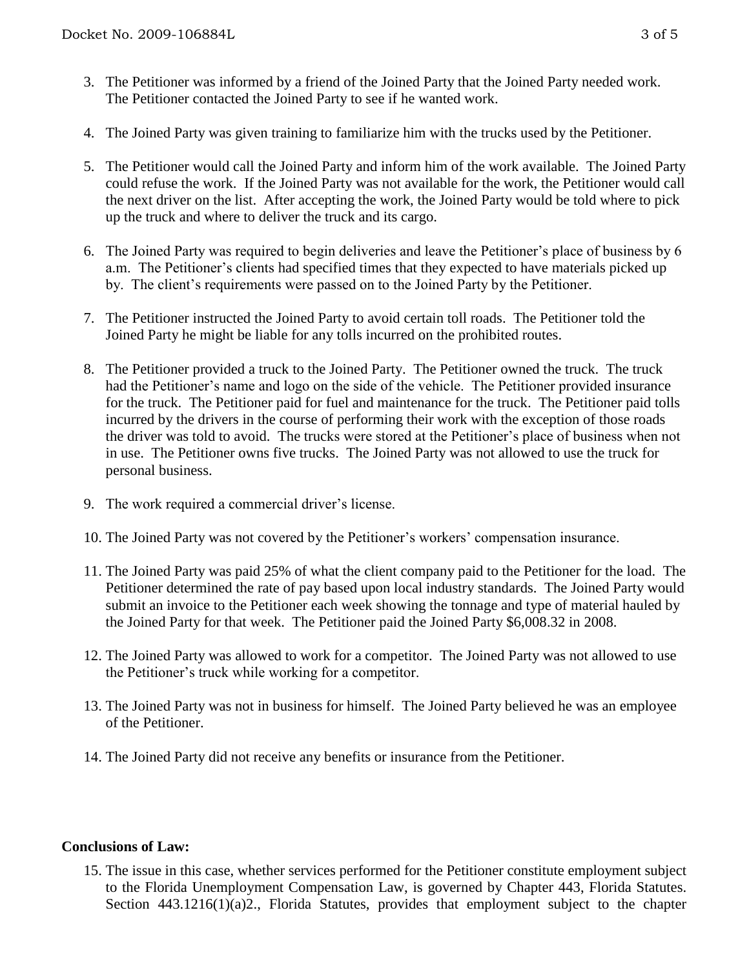- 3. The Petitioner was informed by a friend of the Joined Party that the Joined Party needed work. The Petitioner contacted the Joined Party to see if he wanted work.
- 4. The Joined Party was given training to familiarize him with the trucks used by the Petitioner.
- 5. The Petitioner would call the Joined Party and inform him of the work available. The Joined Party could refuse the work. If the Joined Party was not available for the work, the Petitioner would call the next driver on the list. After accepting the work, the Joined Party would be told where to pick up the truck and where to deliver the truck and its cargo.
- 6. The Joined Party was required to begin deliveries and leave the Petitioner's place of business by 6 a.m. The Petitioner's clients had specified times that they expected to have materials picked up by. The client's requirements were passed on to the Joined Party by the Petitioner.
- 7. The Petitioner instructed the Joined Party to avoid certain toll roads. The Petitioner told the Joined Party he might be liable for any tolls incurred on the prohibited routes.
- 8. The Petitioner provided a truck to the Joined Party. The Petitioner owned the truck. The truck had the Petitioner's name and logo on the side of the vehicle. The Petitioner provided insurance for the truck. The Petitioner paid for fuel and maintenance for the truck. The Petitioner paid tolls incurred by the drivers in the course of performing their work with the exception of those roads the driver was told to avoid. The trucks were stored at the Petitioner's place of business when not in use. The Petitioner owns five trucks. The Joined Party was not allowed to use the truck for personal business.
- 9. The work required a commercial driver's license.
- 10. The Joined Party was not covered by the Petitioner's workers' compensation insurance.
- 11. The Joined Party was paid 25% of what the client company paid to the Petitioner for the load. The Petitioner determined the rate of pay based upon local industry standards. The Joined Party would submit an invoice to the Petitioner each week showing the tonnage and type of material hauled by the Joined Party for that week. The Petitioner paid the Joined Party \$6,008.32 in 2008.
- 12. The Joined Party was allowed to work for a competitor. The Joined Party was not allowed to use the Petitioner's truck while working for a competitor.
- 13. The Joined Party was not in business for himself. The Joined Party believed he was an employee of the Petitioner.
- 14. The Joined Party did not receive any benefits or insurance from the Petitioner.

#### **Conclusions of Law:**

15. The issue in this case, whether services performed for the Petitioner constitute employment subject to the Florida Unemployment Compensation Law, is governed by Chapter 443, Florida Statutes. Section 443.1216(1)(a)2., Florida Statutes, provides that employment subject to the chapter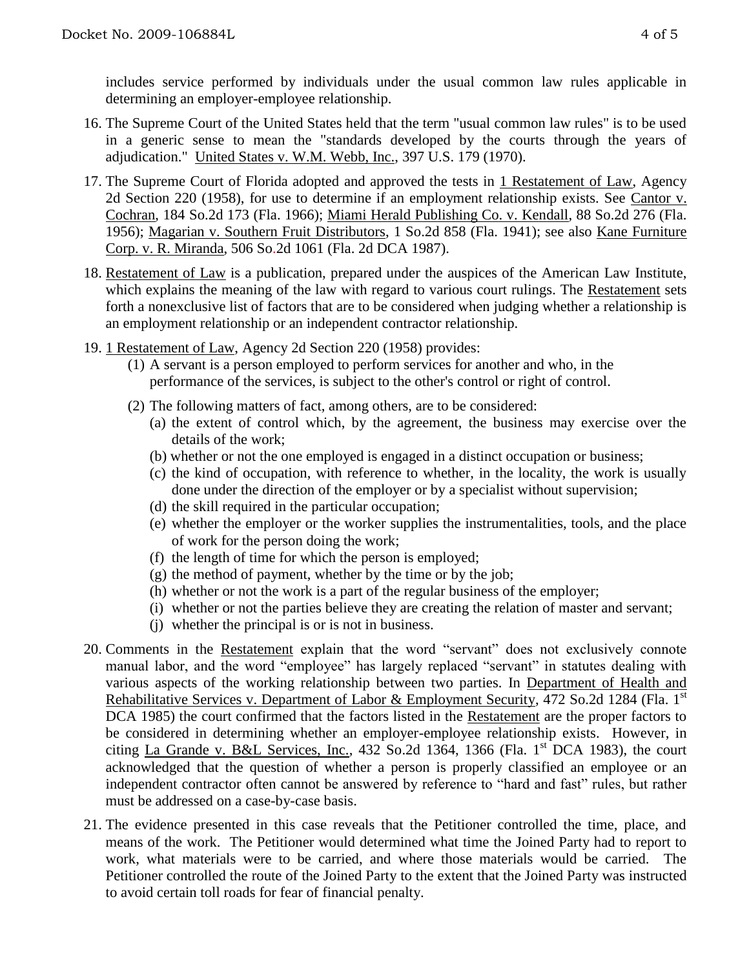includes service performed by individuals under the usual common law rules applicable in determining an employer-employee relationship.

- 16. The Supreme Court of the United States held that the term "usual common law rules" is to be used in a generic sense to mean the "standards developed by the courts through the years of adjudication." United States v. W.M. Webb, Inc., 397 U.S. 179 (1970).
- 17. The Supreme Court of Florida adopted and approved the tests in 1 Restatement of Law, Agency 2d Section 220 (1958), for use to determine if an employment relationship exists. See Cantor v. Cochran, 184 So.2d 173 (Fla. 1966); Miami Herald Publishing Co. v. Kendall, 88 So.2d 276 (Fla. 1956); Magarian v. Southern Fruit Distributors, 1 So.2d 858 (Fla. 1941); see also Kane Furniture Corp. v. R. Miranda, 506 So.2d 1061 (Fla. 2d DCA 1987).
- 18. Restatement of Law is a publication, prepared under the auspices of the American Law Institute, which explains the meaning of the law with regard to various court rulings. The Restatement sets forth a nonexclusive list of factors that are to be considered when judging whether a relationship is an employment relationship or an independent contractor relationship.
- 19. 1 Restatement of Law, Agency 2d Section 220 (1958) provides:
	- (1) A servant is a person employed to perform services for another and who, in the performance of the services, is subject to the other's control or right of control.
	- (2) The following matters of fact, among others, are to be considered:
		- (a) the extent of control which, by the agreement, the business may exercise over the details of the work;
		- (b) whether or not the one employed is engaged in a distinct occupation or business;
		- (c) the kind of occupation, with reference to whether, in the locality, the work is usually done under the direction of the employer or by a specialist without supervision;
		- (d) the skill required in the particular occupation;
		- (e) whether the employer or the worker supplies the instrumentalities, tools, and the place of work for the person doing the work;
		- (f) the length of time for which the person is employed;
		- $(g)$  the method of payment, whether by the time or by the job;
		- (h) whether or not the work is a part of the regular business of the employer;
		- (i) whether or not the parties believe they are creating the relation of master and servant;
		- (j) whether the principal is or is not in business.
- 20. Comments in the Restatement explain that the word "servant" does not exclusively connote manual labor, and the word "employee" has largely replaced "servant" in statutes dealing with various aspects of the working relationship between two parties. In Department of Health and Rehabilitative Services v. Department of Labor & Employment Security, 472 So.2d 1284 (Fla. 1<sup>st</sup> DCA 1985) the court confirmed that the factors listed in the Restatement are the proper factors to be considered in determining whether an employer-employee relationship exists. However, in citing La Grande v. B&L Services, Inc.,  $432$  So.2d  $1364$ ,  $1366$  (Fla. 1<sup>st</sup> DCA 1983), the court acknowledged that the question of whether a person is properly classified an employee or an independent contractor often cannot be answered by reference to "hard and fast" rules, but rather must be addressed on a case-by-case basis.
- 21. The evidence presented in this case reveals that the Petitioner controlled the time, place, and means of the work. The Petitioner would determined what time the Joined Party had to report to work, what materials were to be carried, and where those materials would be carried. The Petitioner controlled the route of the Joined Party to the extent that the Joined Party was instructed to avoid certain toll roads for fear of financial penalty.